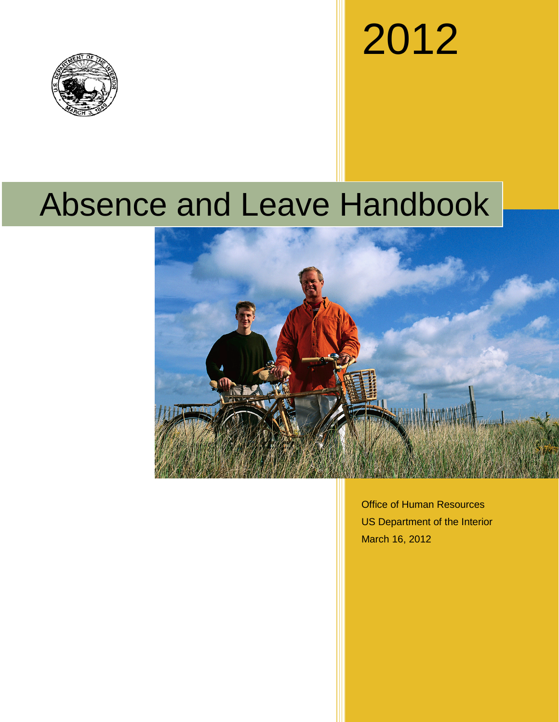

# 2012

# Absence and Leave Handbook



Office of Human Resources US Department of the Interior March 16, 2012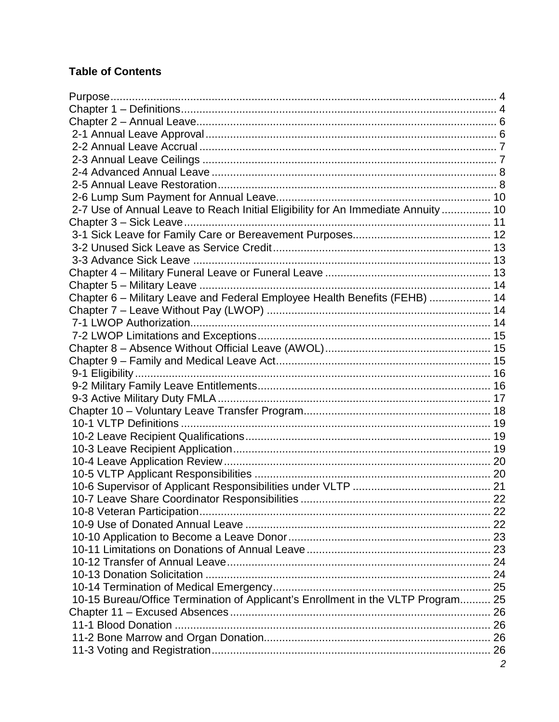# **Table of Contents**

| 2-7 Use of Annual Leave to Reach Initial Eligibility for An Immediate Annuity  10 |                |
|-----------------------------------------------------------------------------------|----------------|
|                                                                                   |                |
|                                                                                   |                |
|                                                                                   |                |
|                                                                                   |                |
|                                                                                   |                |
|                                                                                   |                |
| Chapter 6 - Military Leave and Federal Employee Health Benefits (FEHB)  14        |                |
|                                                                                   |                |
|                                                                                   |                |
|                                                                                   |                |
|                                                                                   |                |
|                                                                                   |                |
|                                                                                   |                |
|                                                                                   |                |
|                                                                                   |                |
|                                                                                   |                |
|                                                                                   |                |
|                                                                                   |                |
|                                                                                   |                |
|                                                                                   |                |
|                                                                                   |                |
|                                                                                   |                |
|                                                                                   | .22            |
|                                                                                   |                |
|                                                                                   |                |
|                                                                                   |                |
|                                                                                   |                |
|                                                                                   |                |
|                                                                                   |                |
|                                                                                   |                |
| 10-15 Bureau/Office Termination of Applicant's Enrollment in the VLTP Program 25  |                |
|                                                                                   |                |
|                                                                                   |                |
|                                                                                   |                |
|                                                                                   |                |
|                                                                                   | $\overline{c}$ |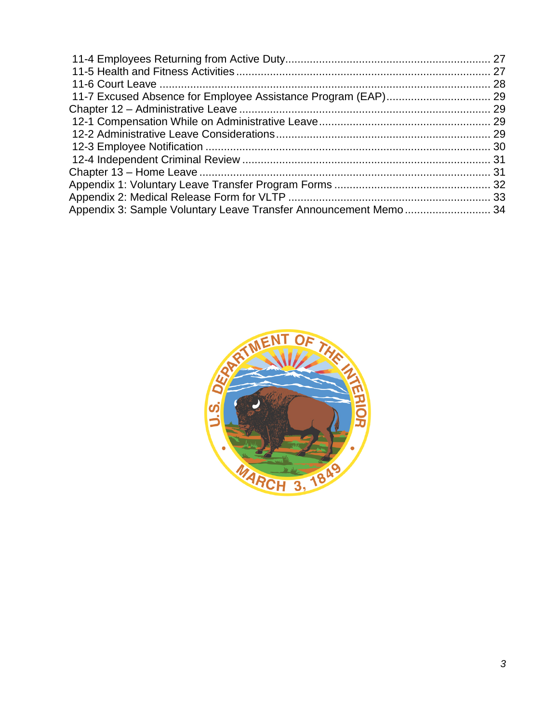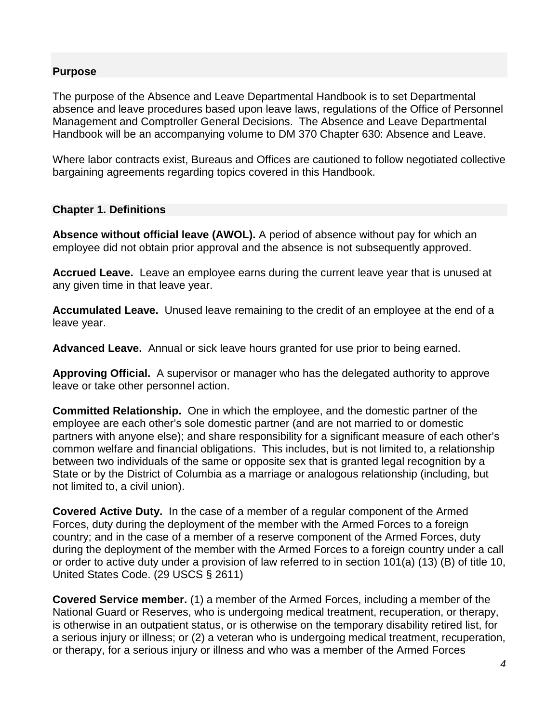# **Purpose**

The purpose of the Absence and Leave Departmental Handbook is to set Departmental absence and leave procedures based upon leave laws, regulations of the Office of Personnel Management and Comptroller General Decisions. The Absence and Leave Departmental Handbook will be an accompanying volume to DM 370 Chapter 630: Absence and Leave.

Where labor contracts exist, Bureaus and Offices are cautioned to follow negotiated collective bargaining agreements regarding topics covered in this Handbook.

#### **Chapter 1. Definitions**

**Absence without official leave (AWOL).** A period of absence without pay for which an employee did not obtain prior approval and the absence is not subsequently approved.

**Accrued Leave.** Leave an employee earns during the current leave year that is unused at any given time in that leave year.

**Accumulated Leave.** Unused leave remaining to the credit of an employee at the end of a leave year.

**Advanced Leave.** Annual or sick leave hours granted for use prior to being earned.

**Approving Official.** A supervisor or manager who has the delegated authority to approve leave or take other personnel action.

**Committed Relationship.** One in which the employee, and the domestic partner of the employee are each other's sole domestic partner (and are not married to or domestic partners with anyone else); and share responsibility for a significant measure of each other's common welfare and financial obligations. This includes, but is not limited to, a relationship between two individuals of the same or opposite sex that is granted legal recognition by a State or by the District of Columbia as a marriage or analogous relationship (including, but not limited to, a civil union).

**Covered Active Duty.** In the case of a member of a regular component of the Armed Forces, duty during the deployment of the member with the Armed Forces to a foreign country; and in the case of a member of a reserve component of the Armed Forces, duty during the deployment of the member with the Armed Forces to a foreign country under a call or order to active duty under a provision of law referred to in section 101(a) (13) (B) of title 10, United States Code. (29 USCS § 2611)

**Covered Service member.** (1) a member of the Armed Forces, including a member of the National Guard or Reserves, who is undergoing medical treatment, recuperation, or therapy, is otherwise in an outpatient status, or is otherwise on the temporary disability retired list, for a serious injury or illness; or (2) a veteran who is undergoing medical treatment, recuperation, or therapy, for a serious injury or illness and who was a member of the Armed Forces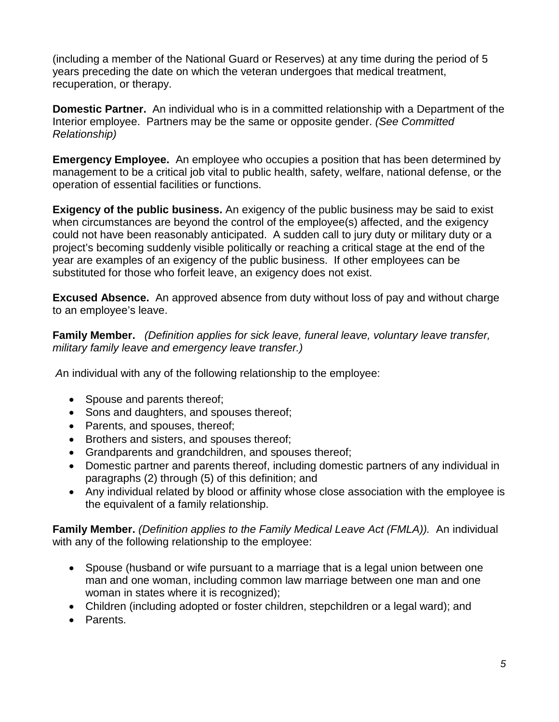(including a member of the National Guard or Reserves) at any time during the period of 5 years preceding the date on which the veteran undergoes that medical treatment, recuperation, or therapy.

**Domestic Partner.** An individual who is in a committed relationship with a Department of the Interior employee. Partners may be the same or opposite gender. *(See Committed Relationship)*

**Emergency Employee.** An employee who occupies a position that has been determined by management to be a critical job vital to public health, safety, welfare, national defense, or the operation of essential facilities or functions.

**Exigency of the public business.** An exigency of the public business may be said to exist when circumstances are beyond the control of the employee(s) affected, and the exigency could not have been reasonably anticipated. A sudden call to jury duty or military duty or a project's becoming suddenly visible politically or reaching a critical stage at the end of the year are examples of an exigency of the public business. If other employees can be substituted for those who forfeit leave, an exigency does not exist.

**Excused Absence.** An approved absence from duty without loss of pay and without charge to an employee's leave.

**Family Member.** *(Definition applies for sick leave, funeral leave, voluntary leave transfer, military family leave and emergency leave transfer.)*

*A*n individual with any of the following relationship to the employee:

- Spouse and parents thereof:
- Sons and daughters, and spouses thereof;
- Parents, and spouses, thereof;
- Brothers and sisters, and spouses thereof;
- Grandparents and grandchildren, and spouses thereof;
- Domestic partner and parents thereof, including domestic partners of any individual in paragraphs (2) through (5) of this definition; and
- Any individual related by blood or affinity whose close association with the employee is the equivalent of a family relationship.

**Family Member.** *(Definition applies to the Family Medical Leave Act (FMLA)).* An individual with any of the following relationship to the employee:

- Spouse (husband or wife pursuant to a marriage that is a legal union between one man and one woman, including common law marriage between one man and one woman in states where it is recognized);
- Children (including adopted or foster children, stepchildren or a legal ward); and
- Parents.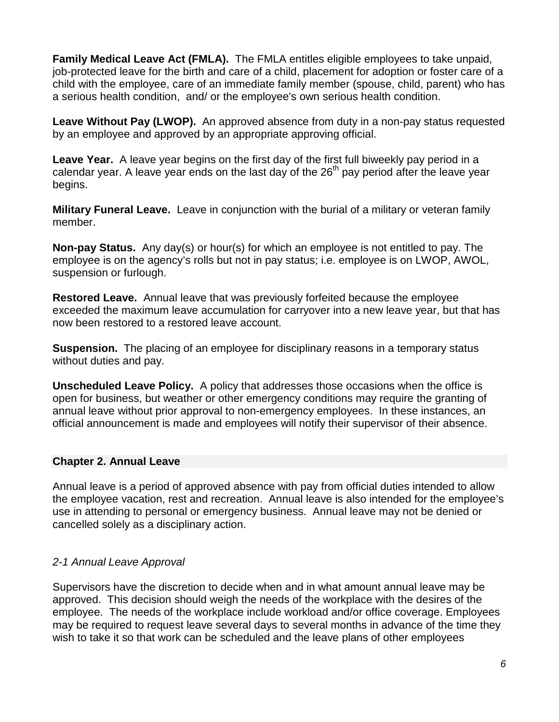**Family Medical Leave Act (FMLA).** The FMLA entitles eligible employees to take unpaid, job-protected leave for the birth and care of a child, placement for adoption or foster care of a child with the employee, care of an immediate family member (spouse, child, parent) who has a serious health condition, and/ or the employee's own serious health condition.

**Leave Without Pay (LWOP).** An approved absence from duty in a non-pay status requested by an employee and approved by an appropriate approving official.

**Leave Year.** A leave year begins on the first day of the first full biweekly pay period in a calendar year. A leave year ends on the last day of the  $26<sup>th</sup>$  pay period after the leave year begins.

**Military Funeral Leave.** Leave in conjunction with the burial of a military or veteran family member.

**Non-pay Status.** Any day(s) or hour(s) for which an employee is not entitled to pay. The employee is on the agency's rolls but not in pay status; i.e. employee is on LWOP, AWOL, suspension or furlough.

**Restored Leave.** Annual leave that was previously forfeited because the employee exceeded the maximum leave accumulation for carryover into a new leave year, but that has now been restored to a restored leave account.

**Suspension.** The placing of an employee for disciplinary reasons in a temporary status without duties and pay.

**Unscheduled Leave Policy.** A policy that addresses those occasions when the office is open for business, but weather or other emergency conditions may require the granting of annual leave without prior approval to non-emergency employees. In these instances, an official announcement is made and employees will notify their supervisor of their absence.

# **Chapter 2. Annual Leave**

Annual leave is a period of approved absence with pay from official duties intended to allow the employee vacation, rest and recreation. Annual leave is also intended for the employee's use in attending to personal or emergency business. Annual leave may not be denied or cancelled solely as a disciplinary action.

#### *2-1 Annual Leave Approval*

Supervisors have the discretion to decide when and in what amount annual leave may be approved. This decision should weigh the needs of the workplace with the desires of the employee. The needs of the workplace include workload and/or office coverage. Employees may be required to request leave several days to several months in advance of the time they wish to take it so that work can be scheduled and the leave plans of other employees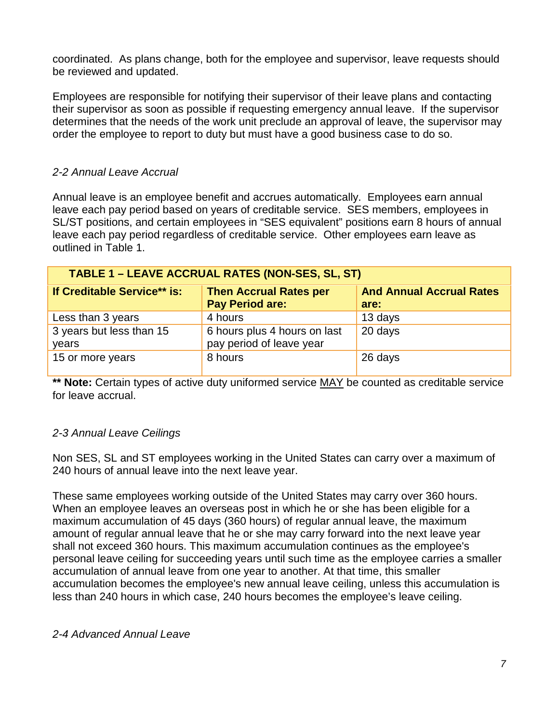coordinated. As plans change, both for the employee and supervisor, leave requests should be reviewed and updated.

Employees are responsible for notifying their supervisor of their leave plans and contacting their supervisor as soon as possible if requesting emergency annual leave. If the supervisor determines that the needs of the work unit preclude an approval of leave, the supervisor may order the employee to report to duty but must have a good business case to do so.

# *2-2 Annual Leave Accrual*

Annual leave is an employee benefit and accrues automatically.Employees earn annual leave each pay period based on years of creditable service. SES members, employees in SL/ST positions, and certain employees in "SES equivalent" positions earn 8 hours of annual leave each pay period regardless of creditable service. Other employees earn leave as outlined in Table 1.

| TABLE 1 - LEAVE ACCRUAL RATES (NON-SES, SL, ST) |                                                          |                                         |  |  |
|-------------------------------------------------|----------------------------------------------------------|-----------------------------------------|--|--|
| If Creditable Service** is:                     | <b>Then Accrual Rates per</b><br><b>Pay Period are:</b>  | <b>And Annual Accrual Rates</b><br>are: |  |  |
| Less than 3 years                               | 4 hours                                                  | 13 days                                 |  |  |
| 3 years but less than 15<br>years               | 6 hours plus 4 hours on last<br>pay period of leave year | 20 days                                 |  |  |
| 15 or more years                                | 8 hours                                                  | 26 days                                 |  |  |

\*\* **Note:** Certain types of active duty uniformed service MAY be counted as creditable service for leave accrual.

#### *2-3 Annual Leave Ceilings*

Non SES, SL and ST employees working in the United States can carry over a maximum of 240 hours of annual leave into the next leave year.

These same employees working outside of the United States may carry over 360 hours. When an employee leaves an overseas post in which he or she has been eligible for a maximum accumulation of 45 days (360 hours) of regular annual leave, the maximum amount of regular annual leave that he or she may carry forward into the next leave year shall not exceed 360 hours. This maximum accumulation continues as the employee's personal leave ceiling for succeeding years until such time as the employee carries a smaller accumulation of annual leave from one year to another. At that time, this smaller accumulation becomes the employee's new annual leave ceiling, unless this accumulation is less than 240 hours in which case, 240 hours becomes the employee's leave ceiling.

#### *2-4 Advanced Annual Leave*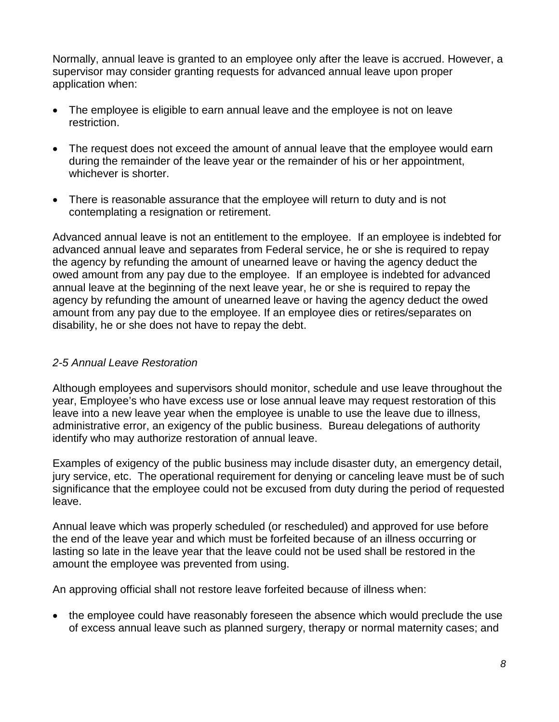Normally, annual leave is granted to an employee only after the leave is accrued. However, a supervisor may consider granting requests for advanced annual leave upon proper application when:

- The employee is eligible to earn annual leave and the employee is not on leave restriction.
- The request does not exceed the amount of annual leave that the employee would earn during the remainder of the leave year or the remainder of his or her appointment, whichever is shorter.
- There is reasonable assurance that the employee will return to duty and is not contemplating a resignation or retirement.

Advanced annual leave is not an entitlement to the employee. If an employee is indebted for advanced annual leave and separates from Federal service, he or she is required to repay the agency by refunding the amount of unearned leave or having the agency deduct the owed amount from any pay due to the employee. If an employee is indebted for advanced annual leave at the beginning of the next leave year, he or she is required to repay the agency by refunding the amount of unearned leave or having the agency deduct the owed amount from any pay due to the employee. If an employee dies or retires/separates on disability, he or she does not have to repay the debt.

# *2-5 Annual Leave Restoration*

Although employees and supervisors should monitor, schedule and use leave throughout the year, Employee's who have excess use or lose annual leave may request restoration of this leave into a new leave year when the employee is unable to use the leave due to illness, administrative error, an exigency of the public business. Bureau delegations of authority identify who may authorize restoration of annual leave.

Examples of exigency of the public business may include disaster duty, an emergency detail, jury service, etc. The operational requirement for denying or canceling leave must be of such significance that the employee could not be excused from duty during the period of requested leave.

Annual leave which was properly scheduled (or rescheduled) and approved for use before the end of the leave year and which must be forfeited because of an illness occurring or lasting so late in the leave year that the leave could not be used shall be restored in the amount the employee was prevented from using.

An approving official shall not restore leave forfeited because of illness when:

• the employee could have reasonably foreseen the absence which would preclude the use of excess annual leave such as planned surgery, therapy or normal maternity cases; and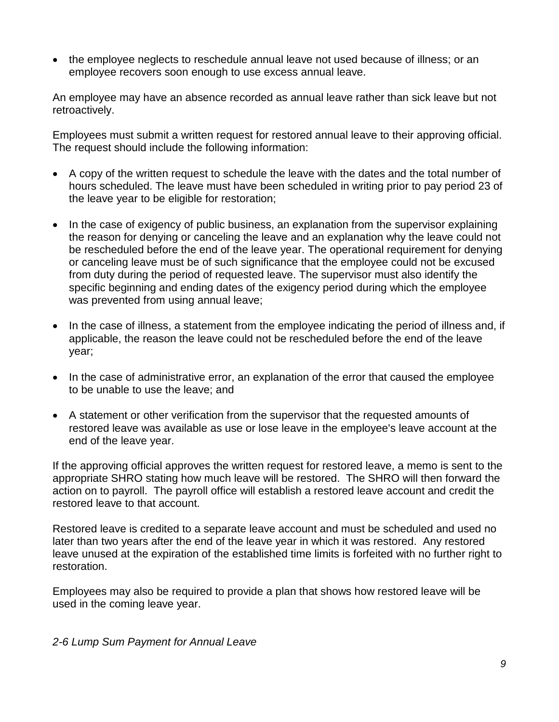• the employee neglects to reschedule annual leave not used because of illness; or an employee recovers soon enough to use excess annual leave.

An employee may have an absence recorded as annual leave rather than sick leave but not retroactively.

Employees must submit a written request for restored annual leave to their approving official. The request should include the following information:

- A copy of the written request to schedule the leave with the dates and the total number of hours scheduled. The leave must have been scheduled in writing prior to pay period 23 of the leave year to be eligible for restoration;
- In the case of exigency of public business, an explanation from the supervisor explaining the reason for denying or canceling the leave and an explanation why the leave could not be rescheduled before the end of the leave year. The operational requirement for denying or canceling leave must be of such significance that the employee could not be excused from duty during the period of requested leave. The supervisor must also identify the specific beginning and ending dates of the exigency period during which the employee was prevented from using annual leave;
- In the case of illness, a statement from the employee indicating the period of illness and, if applicable, the reason the leave could not be rescheduled before the end of the leave year;
- In the case of administrative error, an explanation of the error that caused the employee to be unable to use the leave; and
- A statement or other verification from the supervisor that the requested amounts of restored leave was available as use or lose leave in the employee's leave account at the end of the leave year.

If the approving official approves the written request for restored leave, a memo is sent to the appropriate SHRO stating how much leave will be restored. The SHRO will then forward the action on to payroll. The payroll office will establish a restored leave account and credit the restored leave to that account.

Restored leave is credited to a separate leave account and must be scheduled and used no later than two years after the end of the leave year in which it was restored. Any restored leave unused at the expiration of the established time limits is forfeited with no further right to restoration.

Employees may also be required to provide a plan that shows how restored leave will be used in the coming leave year.

#### *2-6 Lump Sum Payment for Annual Leave*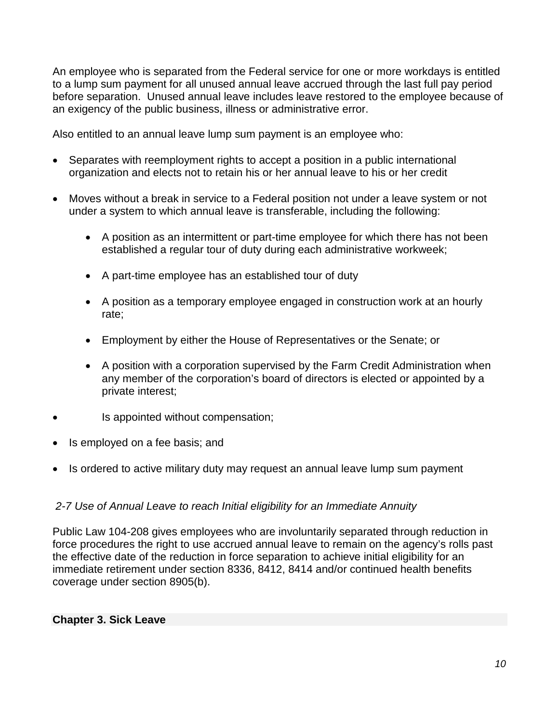An employee who is separated from the Federal service for one or more workdays is entitled to a lump sum payment for all unused annual leave accrued through the last full pay period before separation. Unused annual leave includes leave restored to the employee because of an exigency of the public business, illness or administrative error.

Also entitled to an annual leave lump sum payment is an employee who:

- Separates with reemployment rights to accept a position in a public international organization and elects not to retain his or her annual leave to his or her credit
- Moves without a break in service to a Federal position not under a leave system or not under a system to which annual leave is transferable, including the following:
	- A position as an intermittent or part-time employee for which there has not been established a regular tour of duty during each administrative workweek;
	- A part-time employee has an established tour of duty
	- A position as a temporary employee engaged in construction work at an hourly rate;
	- Employment by either the House of Representatives or the Senate; or
	- A position with a corporation supervised by the Farm Credit Administration when any member of the corporation's board of directors is elected or appointed by a private interest;
- Is appointed without compensation;
- Is employed on a fee basis; and
- Is ordered to active military duty may request an annual leave lump sum payment

# *2-7 Use of Annual Leave to reach Initial eligibility for an Immediate Annuity*

Public Law 104-208 gives employees who are involuntarily separated through reduction in force procedures the right to use accrued annual leave to remain on the agency's rolls past the effective date of the reduction in force separation to achieve initial eligibility for an immediate retirement under section 8336, 8412, 8414 and/or continued health benefits coverage under section 8905(b).

#### **Chapter 3. Sick Leave**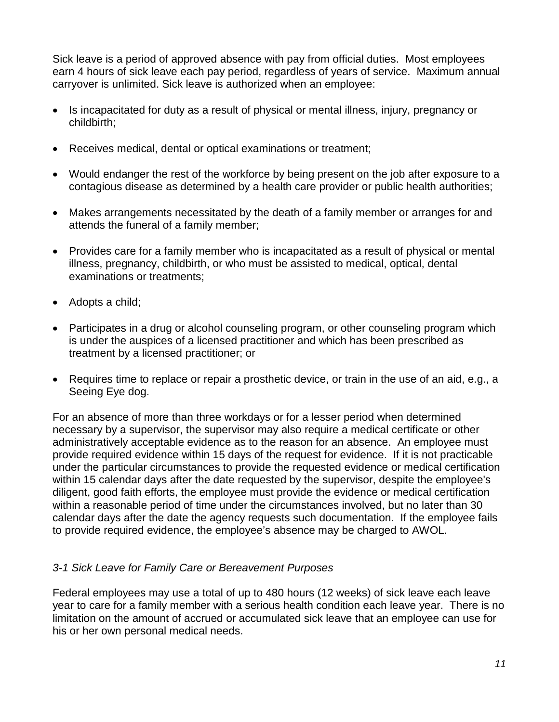Sick leave is a period of approved absence with pay from official duties. Most employees earn 4 hours of sick leave each pay period, regardless of years of service. Maximum annual carryover is unlimited. Sick leave is authorized when an employee:

- Is incapacitated for duty as a result of physical or mental illness, injury, pregnancy or childbirth;
- Receives medical, dental or optical examinations or treatment;
- Would endanger the rest of the workforce by being present on the job after exposure to a contagious disease as determined by a health care provider or public health authorities;
- Makes arrangements necessitated by the death of a family member or arranges for and attends the funeral of a family member;
- Provides care for a family member who is incapacitated as a result of physical or mental illness, pregnancy, childbirth, or who must be assisted to medical, optical, dental examinations or treatments;
- Adopts a child;
- Participates in a drug or alcohol counseling program, or other counseling program which is under the auspices of a licensed practitioner and which has been prescribed as treatment by a licensed practitioner; or
- Requires time to replace or repair a prosthetic device, or train in the use of an aid, e.g., a Seeing Eye dog.

For an absence of more than three workdays or for a lesser period when determined necessary by a supervisor, the supervisor may also require a medical certificate or other administratively acceptable evidence as to the reason for an absence. An employee must provide required evidence within 15 days of the request for evidence. If it is not practicable under the particular circumstances to provide the requested evidence or medical certification within 15 calendar days after the date requested by the supervisor, despite the employee's diligent, good faith efforts, the employee must provide the evidence or medical certification within a reasonable period of time under the circumstances involved, but no later than 30 calendar days after the date the agency requests such documentation. If the employee fails to provide required evidence, the employee's absence may be charged to AWOL.

# *3-1 Sick Leave for Family Care or Bereavement Purposes*

Federal employees may use a total of up to 480 hours (12 weeks) of sick leave each leave year to care for a family member with a serious health condition each leave year. There is no limitation on the amount of accrued or accumulated sick leave that an employee can use for his or her own personal medical needs.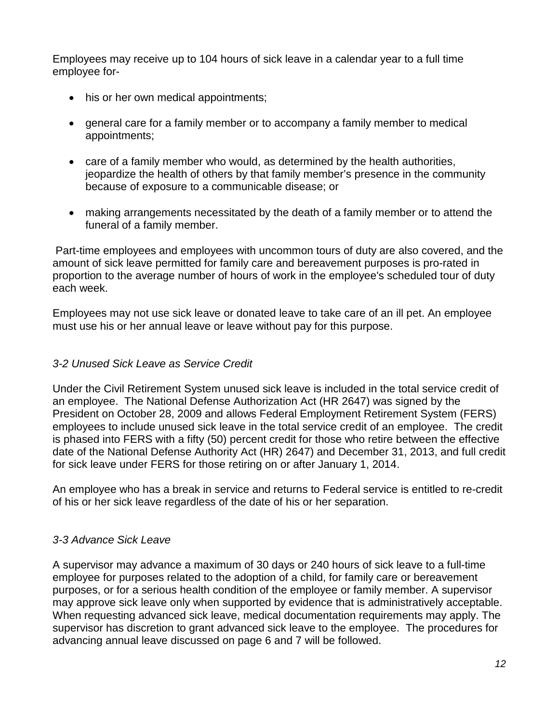Employees may receive up to 104 hours of sick leave in a calendar year to a full time employee for-

- his or her own medical appointments;
- general care for a family member or to accompany a family member to medical appointments;
- care of a family member who would, as determined by the health authorities, jeopardize the health of others by that family member's presence in the community because of exposure to a communicable disease; or
- making arrangements necessitated by the death of a family member or to attend the funeral of a family member.

Part-time employees and employees with uncommon tours of duty are also covered, and the amount of sick leave permitted for family care and bereavement purposes is pro-rated in proportion to the average number of hours of work in the employee's scheduled tour of duty each week.

Employees may not use sick leave or donated leave to take care of an ill pet. An employee must use his or her annual leave or leave without pay for this purpose.

# *3-2 Unused Sick Leave as Service Credit*

Under the Civil Retirement System unused sick leave is included in the total service credit of an employee. The National Defense Authorization Act (HR 2647) was signed by the President on October 28, 2009 and allows Federal Employment Retirement System (FERS) employees to include unused sick leave in the total service credit of an employee. The credit is phased into FERS with a fifty (50) percent credit for those who retire between the effective date of the National Defense Authority Act (HR) 2647) and December 31, 2013, and full credit for sick leave under FERS for those retiring on or after January 1, 2014.

An employee who has a break in service and returns to Federal service is entitled to re-credit of his or her sick leave regardless of the date of his or her separation.

#### *3-3 Advance Sick Leave*

A supervisor may advance a maximum of 30 days or 240 hours of sick leave to a full-time employee for purposes related to the adoption of a child, for family care or bereavement purposes, or for a serious health condition of the employee or family member. A supervisor may approve sick leave only when supported by evidence that is administratively acceptable. When requesting advanced sick leave, medical documentation requirements may apply. The supervisor has discretion to grant advanced sick leave to the employee. The procedures for advancing annual leave discussed on page 6 and 7 will be followed.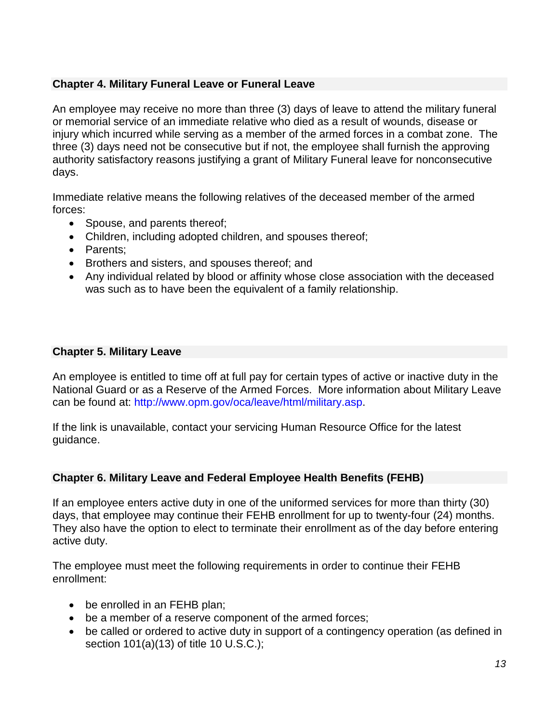# **Chapter 4. Military Funeral Leave or Funeral Leave**

An employee may receive no more than three (3) days of leave to attend the military funeral or memorial service of an immediate relative who died as a result of wounds, disease or injury which incurred while serving as a member of the armed forces in a combat zone. The three (3) days need not be consecutive but if not, the employee shall furnish the approving authority satisfactory reasons justifying a grant of Military Funeral leave for nonconsecutive days.

Immediate relative means the following relatives of the deceased member of the armed forces:

- Spouse, and parents thereof;
- Children, including adopted children, and spouses thereof;
- Parents;
- Brothers and sisters, and spouses thereof; and
- Any individual related by blood or affinity whose close association with the deceased was such as to have been the equivalent of a family relationship.

#### **Chapter 5. Military Leave**

An employee is entitled to time off at full pay for certain types of active or inactive duty in the National Guard or as a Reserve of the Armed Forces. More information about Military Leave can be found at: [http://www.opm.gov/oca/leave/html/military.asp.](http://www.opm.gov/oca/leave/html/military.asp)

If the link is unavailable, contact your servicing Human Resource Office for the latest guidance.

# **Chapter 6. Military Leave and Federal Employee Health Benefits (FEHB)**

If an employee enters active duty in one of the uniformed services for more than thirty (30) days, that employee may continue their FEHB enrollment for up to twenty-four (24) months. They also have the option to elect to terminate their enrollment as of the day before entering active duty.

The employee must meet the following requirements in order to continue their FEHB enrollment:

- be enrolled in an FEHB plan;
- be a member of a reserve component of the armed forces;
- be called or ordered to active duty in support of a contingency operation (as defined in section 101(a)(13) of title 10 U.S.C.);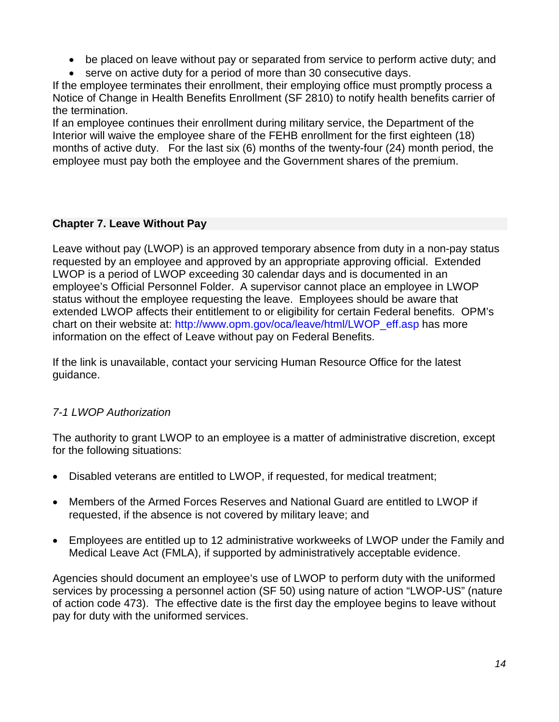- be placed on leave without pay or separated from service to perform active duty; and
- serve on active duty for a period of more than 30 consecutive days.

If the employee terminates their enrollment, their employing office must promptly process a Notice of Change in Health Benefits Enrollment (SF 2810) to notify health benefits carrier of the termination.

If an employee continues their enrollment during military service, the Department of the Interior will waive the employee share of the FEHB enrollment for the first eighteen (18) months of active duty. For the last six (6) months of the twenty-four (24) month period, the employee must pay both the employee and the Government shares of the premium.

# **Chapter 7. Leave Without Pay**

Leave without pay (LWOP) is an approved temporary absence from duty in a non-pay status requested by an employee and approved by an appropriate approving official. Extended LWOP is a period of LWOP exceeding 30 calendar days and is documented in an employee's Official Personnel Folder. A supervisor cannot place an employee in LWOP status without the employee requesting the leave. Employees should be aware that extended LWOP affects their entitlement to or eligibility for certain Federal benefits. OPM's chart on their website at: [http://www.opm.gov/oca/leave/html/LWOP\\_eff.asp](http://www.opm.gov/oca/leave/html/LWOP_eff.asp) has more information on the effect of Leave without pay on Federal Benefits.

If the link is unavailable, contact your servicing Human Resource Office for the latest guidance.

# *7-1 LWOP Authorization*

The authority to grant LWOP to an employee is a matter of administrative discretion, except for the following situations:

- Disabled veterans are entitled to LWOP, if requested, for medical treatment;
- Members of the Armed Forces Reserves and National Guard are entitled to LWOP if requested, if the absence is not covered by military leave; and
- Employees are entitled up to 12 administrative workweeks of LWOP under the Family and Medical Leave Act (FMLA), if supported by administratively acceptable evidence.

Agencies should document an employee's use of LWOP to perform duty with the uniformed services by processing a personnel action (SF 50) using nature of action "LWOP-US" (nature of action code 473). The effective date is the first day the employee begins to leave without pay for duty with the uniformed services.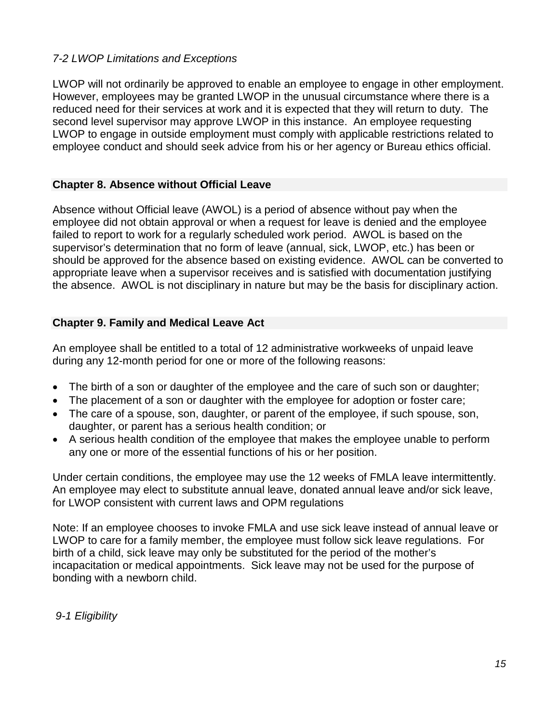# *7-2 LWOP Limitations and Exceptions*

LWOP will not ordinarily be approved to enable an employee to engage in other employment. However, employees may be granted LWOP in the unusual circumstance where there is a reduced need for their services at work and it is expected that they will return to duty. The second level supervisor may approve LWOP in this instance. An employee requesting LWOP to engage in outside employment must comply with applicable restrictions related to employee conduct and should seek advice from his or her agency or Bureau ethics official.

# **Chapter 8. Absence without Official Leave**

Absence without Official leave (AWOL) is a period of absence without pay when the employee did not obtain approval or when a request for leave is denied and the employee failed to report to work for a regularly scheduled work period. AWOL is based on the supervisor's determination that no form of leave (annual, sick, LWOP, etc.) has been or should be approved for the absence based on existing evidence. AWOL can be converted to appropriate leave when a supervisor receives and is satisfied with documentation justifying the absence. AWOL is not disciplinary in nature but may be the basis for disciplinary action.

# **Chapter 9. Family and Medical Leave Act**

An employee shall be entitled to a total of 12 administrative workweeks of unpaid leave during any 12-month period for one or more of the following reasons:

- The birth of a son or daughter of the employee and the care of such son or daughter;
- The placement of a son or daughter with the employee for adoption or foster care;
- The care of a spouse, son, daughter, or parent of the employee, if such spouse, son, daughter, or parent has a serious health condition; or
- A serious health condition of the employee that makes the employee unable to perform any one or more of the essential functions of his or her position.

Under certain conditions, the employee may use the 12 weeks of FMLA leave intermittently. An employee may elect to substitute annual leave, donated annual leave and/or sick leave, for LWOP consistent with current laws and OPM regulations

Note: If an employee chooses to invoke FMLA and use sick leave instead of annual leave or LWOP to care for a family member, the employee must follow sick leave regulations. For birth of a child, sick leave may only be substituted for the period of the mother's incapacitation or medical appointments. Sick leave may not be used for the purpose of bonding with a newborn child.

*9-1 Eligibility*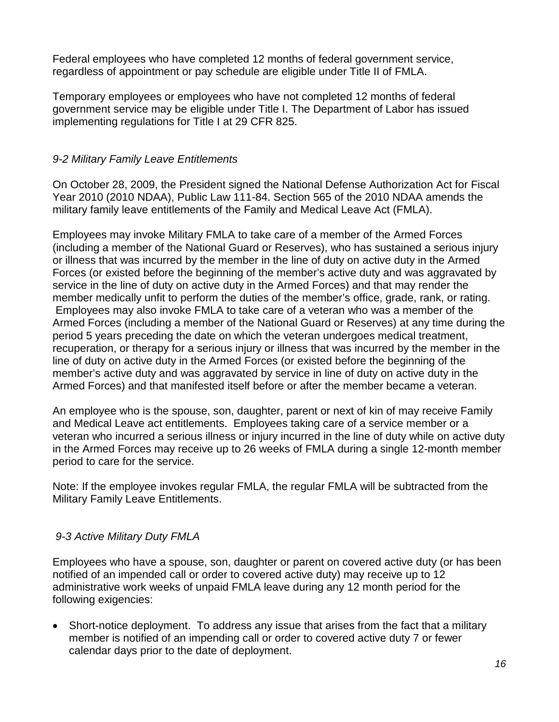Federal employees who have completed 12 months of federal government service, regardless of appointment or pay schedule are eligible under Title II of FMLA.

Temporary employees or employees who have not completed 12 months of federal government service may be eligible under Title I. The Department of Labor has issued implementing regulations for Title I at 29 CFR 825.

#### *9-2 Military Family Leave Entitlements*

On October 28, 2009, the President signed the National Defense Authorization Act for Fiscal Year 2010 (2010 NDAA), Public Law 111-84. Section 565 of the 2010 NDAA amends the military family leave entitlements of the Family and Medical Leave Act (FMLA).

Employees may invoke Military FMLA to take care of a member of the Armed Forces (including a member of the National Guard or Reserves), who has sustained a serious injury or illness that was incurred by the member in the line of duty on active duty in the Armed Forces (or existed before the beginning of the member's active duty and was aggravated by service in the line of duty on active duty in the Armed Forces) and that may render the member medically unfit to perform the duties of the member's office, grade, rank, or rating. Employees may also invoke FMLA to take care of a veteran who was a member of the Armed Forces (including a member of the National Guard or Reserves) at any time during the period 5 years preceding the date on which the veteran undergoes medical treatment, recuperation, or therapy for a serious injury or illness that was incurred by the member in the line of duty on active duty in the Armed Forces (or existed before the beginning of the member's active duty and was aggravated by service in line of duty on active duty in the Armed Forces) and that manifested itself before or after the member became a veteran.

An employee who is the spouse, son, daughter, parent or next of kin of may receive Family and Medical Leave act entitlements. Employees taking care of a service member or a veteran who incurred a serious illness or injury incurred in the line of duty while on active duty in the Armed Forces may receive up to 26 weeks of FMLA during a single 12-month member period to care for the service.

Note: If the employee invokes regular FMLA, the regular FMLA will be subtracted from the Military Family Leave Entitlements.

# *9-3 Active Military Duty FMLA*

Employees who have a spouse, son, daughter or parent on covered active duty (or has been notified of an impended call or order to covered active duty) may receive up to 12 administrative work weeks of unpaid FMLA leave during any 12 month period for the following exigencies:

• Short-notice deployment. To address any issue that arises from the fact that a military member is notified of an impending call or order to covered active duty 7 or fewer calendar days prior to the date of deployment.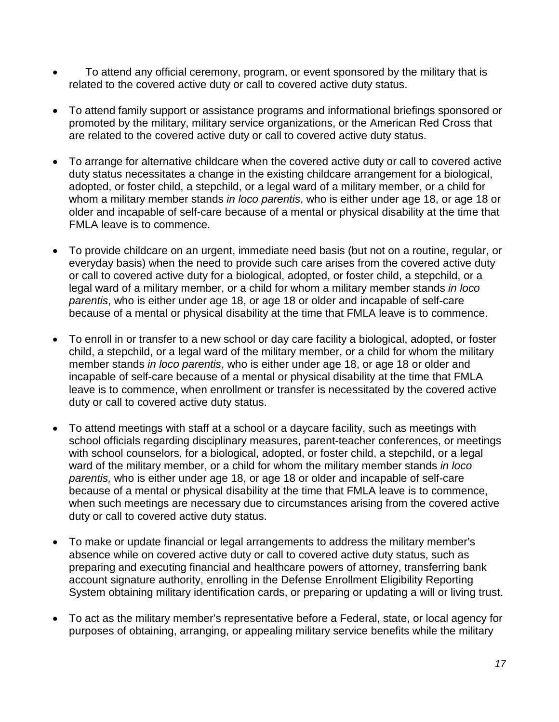- To attend any official ceremony, program, or event sponsored by the military that is related to the covered active duty or call to covered active duty status.
- To attend family support or assistance programs and informational briefings sponsored or promoted by the military, military service organizations, or the American Red Cross that are related to the covered active duty or call to covered active duty status.
- To arrange for alternative childcare when the covered active duty or call to covered active duty status necessitates a change in the existing childcare arrangement for a biological, adopted, or foster child, a stepchild, or a legal ward of a military member, or a child for whom a military member stands *in loco parentis*, who is either under age 18, or age 18 or older and incapable of self-care because of a mental or physical disability at the time that FMLA leave is to commence.
- To provide childcare on an urgent, immediate need basis (but not on a routine, regular, or everyday basis) when the need to provide such care arises from the covered active duty or call to covered active duty for a biological, adopted, or foster child, a stepchild, or a legal ward of a military member, or a child for whom a military member stands *in loco parentis*, who is either under age 18, or age 18 or older and incapable of self-care because of a mental or physical disability at the time that FMLA leave is to commence.
- To enroll in or transfer to a new school or day care facility a biological, adopted, or foster child, a stepchild, or a legal ward of the military member, or a child for whom the military member stands *in loco parentis*, who is either under age 18, or age 18 or older and incapable of self-care because of a mental or physical disability at the time that FMLA leave is to commence, when enrollment or transfer is necessitated by the covered active duty or call to covered active duty status.
- To attend meetings with staff at a school or a daycare facility, such as meetings with school officials regarding disciplinary measures, parent-teacher conferences, or meetings with school counselors, for a biological, adopted, or foster child, a stepchild, or a legal ward of the military member, or a child for whom the military member stands *in loco parentis,* who is either under age 18, or age 18 or older and incapable of self-care because of a mental or physical disability at the time that FMLA leave is to commence, when such meetings are necessary due to circumstances arising from the covered active duty or call to covered active duty status.
- To make or update financial or legal arrangements to address the military member's absence while on covered active duty or call to covered active duty status, such as preparing and executing financial and healthcare powers of attorney, transferring bank account signature authority, enrolling in the Defense Enrollment Eligibility Reporting System obtaining military identification cards, or preparing or updating a will or living trust.
- To act as the military member's representative before a Federal, state, or local agency for purposes of obtaining, arranging, or appealing military service benefits while the military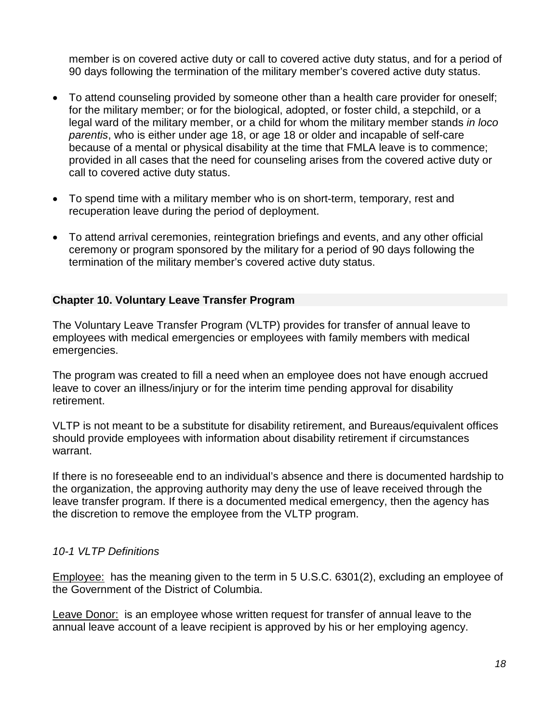member is on covered active duty or call to covered active duty status, and for a period of 90 days following the termination of the military member's covered active duty status.

- To attend counseling provided by someone other than a health care provider for oneself; for the military member; or for the biological, adopted, or foster child, a stepchild, or a legal ward of the military member, or a child for whom the military member stands *in loco parentis*, who is either under age 18, or age 18 or older and incapable of self-care because of a mental or physical disability at the time that FMLA leave is to commence; provided in all cases that the need for counseling arises from the covered active duty or call to covered active duty status.
- To spend time with a military member who is on short-term, temporary, rest and recuperation leave during the period of deployment.
- To attend arrival ceremonies, reintegration briefings and events, and any other official ceremony or program sponsored by the military for a period of 90 days following the termination of the military member's covered active duty status.

#### **Chapter 10. Voluntary Leave Transfer Program**

The Voluntary Leave Transfer Program (VLTP) provides for transfer of annual leave to employees with medical emergencies or employees with family members with medical emergencies.

The program was created to fill a need when an employee does not have enough accrued leave to cover an illness/injury or for the interim time pending approval for disability retirement.

VLTP is not meant to be a substitute for disability retirement, and Bureaus/equivalent offices should provide employees with information about disability retirement if circumstances warrant.

If there is no foreseeable end to an individual's absence and there is documented hardship to the organization, the approving authority may deny the use of leave received through the leave transfer program. If there is a documented medical emergency, then the agency has the discretion to remove the employee from the VLTP program.

#### *10-1 VLTP Definitions*

Employee: has the meaning given to the term in 5 U.S.C. 6301(2), excluding an employee of the Government of the District of Columbia.

Leave Donor: is an employee whose written request for transfer of annual leave to the annual leave account of a leave recipient is approved by his or her employing agency.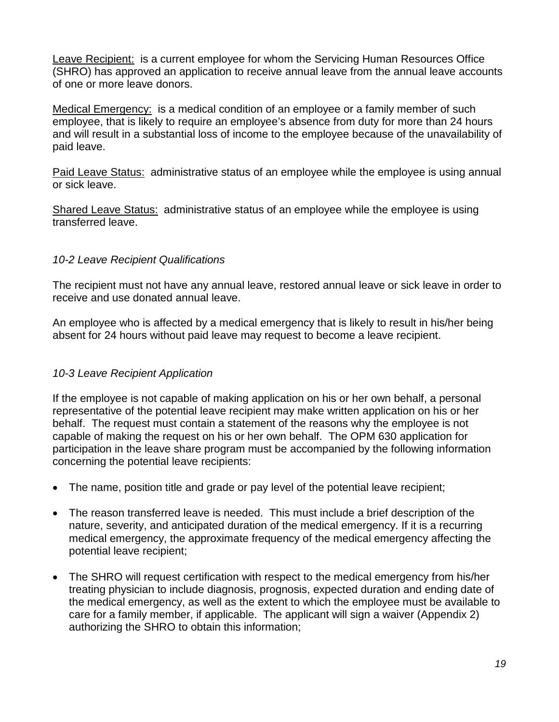Leave Recipient: is a current employee for whom the Servicing Human Resources Office (SHRO) has approved an application to receive annual leave from the annual leave accounts of one or more leave donors.

Medical Emergency: is a medical condition of an employee or a family member of such employee, that is likely to require an employee's absence from duty for more than 24 hours and will result in a substantial loss of income to the employee because of the unavailability of paid leave.

Paid Leave Status: administrative status of an employee while the employee is using annual or sick leave.

Shared Leave Status: administrative status of an employee while the employee is using transferred leave.

# *10-2 Leave Recipient Qualifications*

The recipient must not have any annual leave, restored annual leave or sick leave in order to receive and use donated annual leave.

An employee who is affected by a medical emergency that is likely to result in his/her being absent for 24 hours without paid leave may request to become a leave recipient.

# *10-3 Leave Recipient Application*

If the employee is not capable of making application on his or her own behalf, a personal representative of the potential leave recipient may make written application on his or her behalf. The request must contain a statement of the reasons why the employee is not capable of making the request on his or her own behalf. The OPM 630 application for participation in the leave share program must be accompanied by the following information concerning the potential leave recipients:

- The name, position title and grade or pay level of the potential leave recipient;
- The reason transferred leave is needed. This must include a brief description of the nature, severity, and anticipated duration of the medical emergency. If it is a recurring medical emergency, the approximate frequency of the medical emergency affecting the potential leave recipient;
- The SHRO will request certification with respect to the medical emergency from his/her treating physician to include diagnosis, prognosis, expected duration and ending date of the medical emergency, as well as the extent to which the employee must be available to care for a family member, if applicable. The applicant will sign a waiver (Appendix 2) authorizing the SHRO to obtain this information;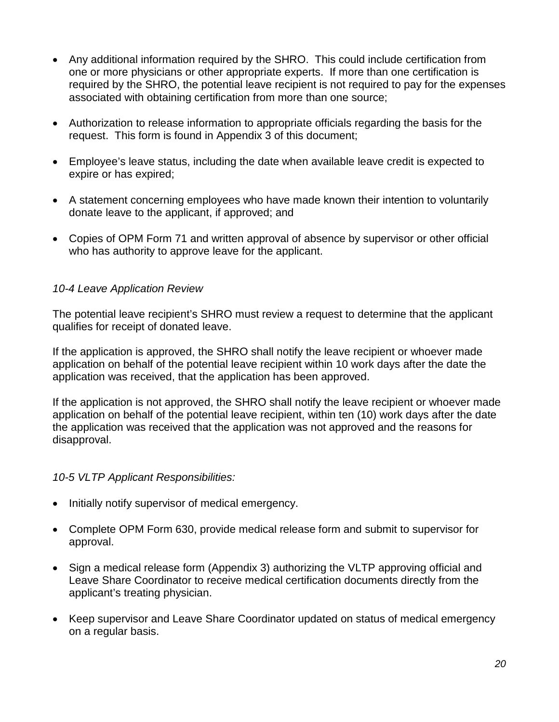- Any additional information required by the SHRO. This could include certification from one or more physicians or other appropriate experts. If more than one certification is required by the SHRO, the potential leave recipient is not required to pay for the expenses associated with obtaining certification from more than one source;
- Authorization to release information to appropriate officials regarding the basis for the request. This form is found in Appendix 3 of this document;
- Employee's leave status, including the date when available leave credit is expected to expire or has expired;
- A statement concerning employees who have made known their intention to voluntarily donate leave to the applicant, if approved; and
- Copies of OPM Form 71 and written approval of absence by supervisor or other official who has authority to approve leave for the applicant.

# *10-4 Leave Application Review*

The potential leave recipient's SHRO must review a request to determine that the applicant qualifies for receipt of donated leave.

If the application is approved, the SHRO shall notify the leave recipient or whoever made application on behalf of the potential leave recipient within 10 work days after the date the application was received, that the application has been approved.

If the application is not approved, the SHRO shall notify the leave recipient or whoever made application on behalf of the potential leave recipient, within ten (10) work days after the date the application was received that the application was not approved and the reasons for disapproval.

#### *10-5 VLTP Applicant Responsibilities:*

- Initially notify supervisor of medical emergency.
- Complete OPM Form 630, provide medical release form and submit to supervisor for approval.
- Sign a medical release form (Appendix 3) authorizing the VLTP approving official and Leave Share Coordinator to receive medical certification documents directly from the applicant's treating physician.
- Keep supervisor and Leave Share Coordinator updated on status of medical emergency on a regular basis.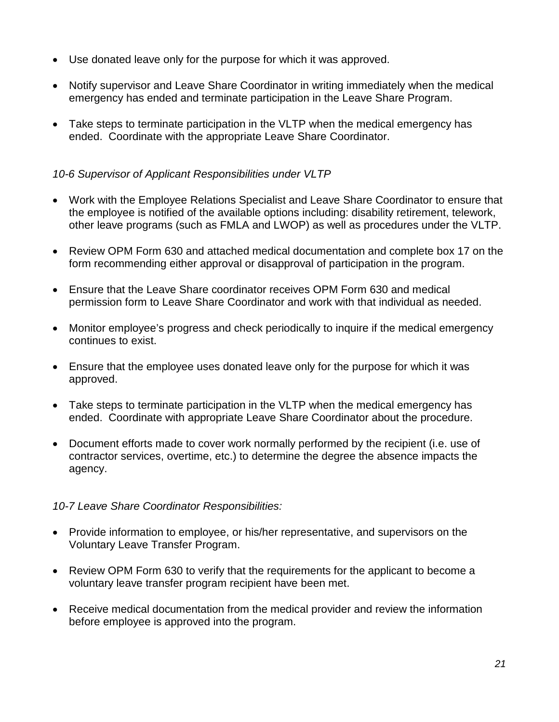- Use donated leave only for the purpose for which it was approved.
- Notify supervisor and Leave Share Coordinator in writing immediately when the medical emergency has ended and terminate participation in the Leave Share Program.
- Take steps to terminate participation in the VLTP when the medical emergency has ended. Coordinate with the appropriate Leave Share Coordinator.

# *10-6 Supervisor of Applicant Responsibilities under VLTP*

- Work with the Employee Relations Specialist and Leave Share Coordinator to ensure that the employee is notified of the available options including: disability retirement, telework, other leave programs (such as FMLA and LWOP) as well as procedures under the VLTP.
- Review OPM Form 630 and attached medical documentation and complete box 17 on the form recommending either approval or disapproval of participation in the program.
- Ensure that the Leave Share coordinator receives OPM Form 630 and medical permission form to Leave Share Coordinator and work with that individual as needed.
- Monitor employee's progress and check periodically to inquire if the medical emergency continues to exist.
- Ensure that the employee uses donated leave only for the purpose for which it was approved.
- Take steps to terminate participation in the VLTP when the medical emergency has ended. Coordinate with appropriate Leave Share Coordinator about the procedure.
- Document efforts made to cover work normally performed by the recipient (i.e. use of contractor services, overtime, etc.) to determine the degree the absence impacts the agency.

#### *10-7 Leave Share Coordinator Responsibilities:*

- Provide information to employee, or his/her representative, and supervisors on the Voluntary Leave Transfer Program.
- Review OPM Form 630 to verify that the requirements for the applicant to become a voluntary leave transfer program recipient have been met.
- Receive medical documentation from the medical provider and review the information before employee is approved into the program.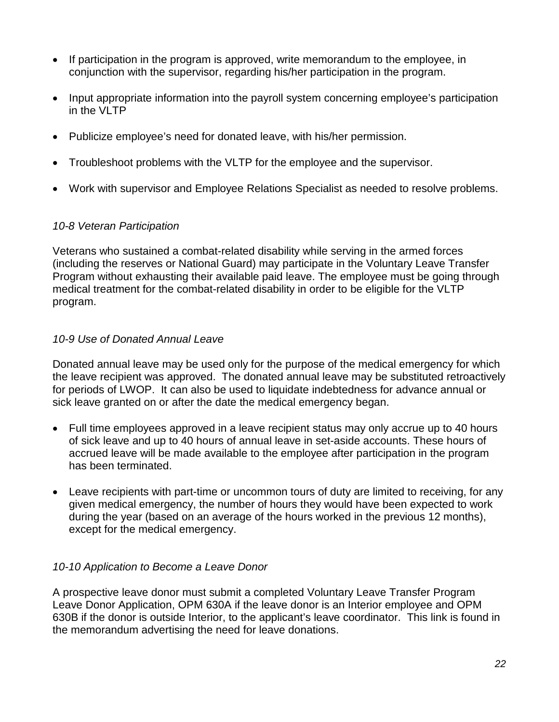- If participation in the program is approved, write memorandum to the employee, in conjunction with the supervisor, regarding his/her participation in the program.
- Input appropriate information into the payroll system concerning employee's participation in the VLTP
- Publicize employee's need for donated leave, with his/her permission.
- Troubleshoot problems with the VLTP for the employee and the supervisor.
- Work with supervisor and Employee Relations Specialist as needed to resolve problems.

#### *10-8 Veteran Participation*

Veterans who sustained a combat-related disability while serving in the armed forces (including the reserves or National Guard) may participate in the Voluntary Leave Transfer Program without exhausting their available paid leave. The employee must be going through medical treatment for the combat-related disability in order to be eligible for the VLTP program.

#### *10-9 Use of Donated Annual Leave*

Donated annual leave may be used only for the purpose of the medical emergency for which the leave recipient was approved. The donated annual leave may be substituted retroactively for periods of LWOP. It can also be used to liquidate indebtedness for advance annual or sick leave granted on or after the date the medical emergency began.

- Full time employees approved in a leave recipient status may only accrue up to 40 hours of sick leave and up to 40 hours of annual leave in set-aside accounts. These hours of accrued leave will be made available to the employee after participation in the program has been terminated.
- Leave recipients with part-time or uncommon tours of duty are limited to receiving, for any given medical emergency, the number of hours they would have been expected to work during the year (based on an average of the hours worked in the previous 12 months), except for the medical emergency.

#### *10-10 Application to Become a Leave Donor*

A prospective leave donor must submit a completed Voluntary Leave Transfer Program Leave Donor Application, OPM 630A if the leave donor is an Interior employee and OPM 630B if the donor is outside Interior, to the applicant's leave coordinator. This link is found in the memorandum advertising the need for leave donations.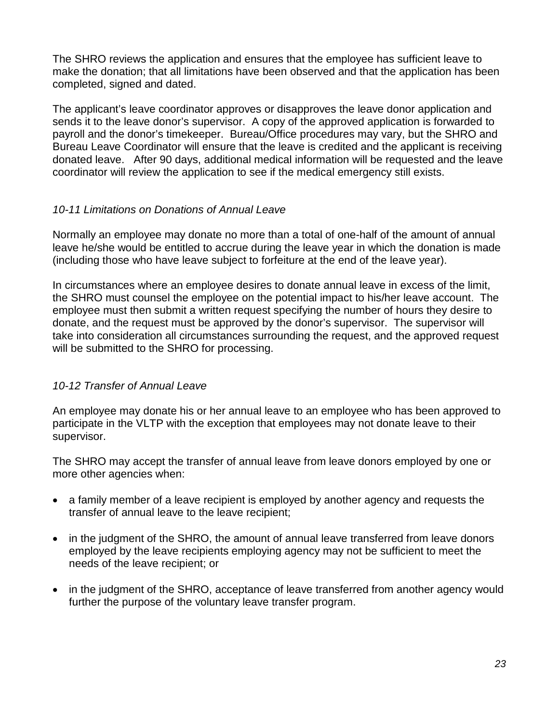The SHRO reviews the application and ensures that the employee has sufficient leave to make the donation; that all limitations have been observed and that the application has been completed, signed and dated.

The applicant's leave coordinator approves or disapproves the leave donor application and sends it to the leave donor's supervisor. A copy of the approved application is forwarded to payroll and the donor's timekeeper. Bureau/Office procedures may vary, but the SHRO and Bureau Leave Coordinator will ensure that the leave is credited and the applicant is receiving donated leave. After 90 days, additional medical information will be requested and the leave coordinator will review the application to see if the medical emergency still exists.

# *10-11 Limitations on Donations of Annual Leave*

Normally an employee may donate no more than a total of one-half of the amount of annual leave he/she would be entitled to accrue during the leave year in which the donation is made (including those who have leave subject to forfeiture at the end of the leave year).

In circumstances where an employee desires to donate annual leave in excess of the limit, the SHRO must counsel the employee on the potential impact to his/her leave account. The employee must then submit a written request specifying the number of hours they desire to donate, and the request must be approved by the donor's supervisor. The supervisor will take into consideration all circumstances surrounding the request, and the approved request will be submitted to the SHRO for processing.

# *10-12 Transfer of Annual Leave*

An employee may donate his or her annual leave to an employee who has been approved to participate in the VLTP with the exception that employees may not donate leave to their supervisor.

The SHRO may accept the transfer of annual leave from leave donors employed by one or more other agencies when:

- a family member of a leave recipient is employed by another agency and requests the transfer of annual leave to the leave recipient;
- in the judgment of the SHRO, the amount of annual leave transferred from leave donors employed by the leave recipients employing agency may not be sufficient to meet the needs of the leave recipient; or
- in the judgment of the SHRO, acceptance of leave transferred from another agency would further the purpose of the voluntary leave transfer program.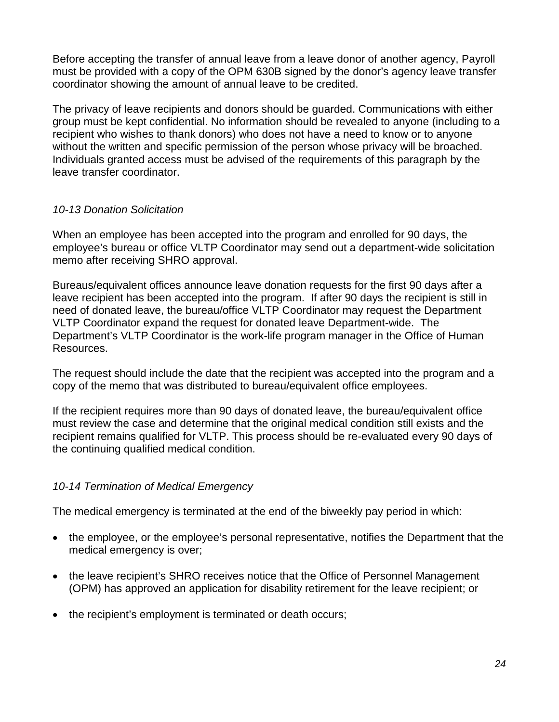Before accepting the transfer of annual leave from a leave donor of another agency, Payroll must be provided with a copy of the OPM 630B signed by the donor's agency leave transfer coordinator showing the amount of annual leave to be credited.

The privacy of leave recipients and donors should be guarded. Communications with either group must be kept confidential. No information should be revealed to anyone (including to a recipient who wishes to thank donors) who does not have a need to know or to anyone without the written and specific permission of the person whose privacy will be broached. Individuals granted access must be advised of the requirements of this paragraph by the leave transfer coordinator.

# *10-13 Donation Solicitation*

When an employee has been accepted into the program and enrolled for 90 days, the employee's bureau or office VLTP Coordinator may send out a department-wide solicitation memo after receiving SHRO approval.

Bureaus/equivalent offices announce leave donation requests for the first 90 days after a leave recipient has been accepted into the program. If after 90 days the recipient is still in need of donated leave, the bureau/office VLTP Coordinator may request the Department VLTP Coordinator expand the request for donated leave Department-wide. The Department's VLTP Coordinator is the work-life program manager in the Office of Human Resources.

The request should include the date that the recipient was accepted into the program and a copy of the memo that was distributed to bureau/equivalent office employees.

If the recipient requires more than 90 days of donated leave, the bureau/equivalent office must review the case and determine that the original medical condition still exists and the recipient remains qualified for VLTP. This process should be re-evaluated every 90 days of the continuing qualified medical condition.

# *10-14 Termination of Medical Emergency*

The medical emergency is terminated at the end of the biweekly pay period in which:

- the employee, or the employee's personal representative, notifies the Department that the medical emergency is over;
- the leave recipient's SHRO receives notice that the Office of Personnel Management (OPM) has approved an application for disability retirement for the leave recipient; or
- the recipient's employment is terminated or death occurs;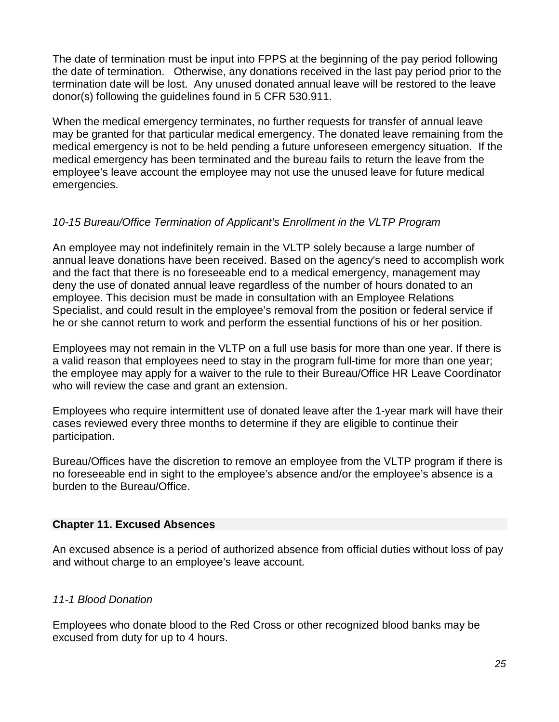The date of termination must be input into FPPS at the beginning of the pay period following the date of termination. Otherwise, any donations received in the last pay period prior to the termination date will be lost. Any unused donated annual leave will be restored to the leave donor(s) following the guidelines found in 5 CFR 530.911.

When the medical emergency terminates, no further requests for transfer of annual leave may be granted for that particular medical emergency. The donated leave remaining from the medical emergency is not to be held pending a future unforeseen emergency situation. If the medical emergency has been terminated and the bureau fails to return the leave from the employee's leave account the employee may not use the unused leave for future medical emergencies.

# *10-15 Bureau/Office Termination of Applicant's Enrollment in the VLTP Program*

An employee may not indefinitely remain in the VLTP solely because a large number of annual leave donations have been received. Based on the agency's need to accomplish work and the fact that there is no foreseeable end to a medical emergency, management may deny the use of donated annual leave regardless of the number of hours donated to an employee. This decision must be made in consultation with an Employee Relations Specialist, and could result in the employee's removal from the position or federal service if he or she cannot return to work and perform the essential functions of his or her position.

Employees may not remain in the VLTP on a full use basis for more than one year. If there is a valid reason that employees need to stay in the program full-time for more than one year; the employee may apply for a waiver to the rule to their Bureau/Office HR Leave Coordinator who will review the case and grant an extension.

Employees who require intermittent use of donated leave after the 1-year mark will have their cases reviewed every three months to determine if they are eligible to continue their participation.

Bureau/Offices have the discretion to remove an employee from the VLTP program if there is no foreseeable end in sight to the employee's absence and/or the employee's absence is a burden to the Bureau/Office.

#### **Chapter 11. Excused Absences**

An excused absence is a period of authorized absence from official duties without loss of pay and without charge to an employee's leave account.

#### *11-1 Blood Donation*

Employees who donate blood to the Red Cross or other recognized blood banks may be excused from duty for up to 4 hours.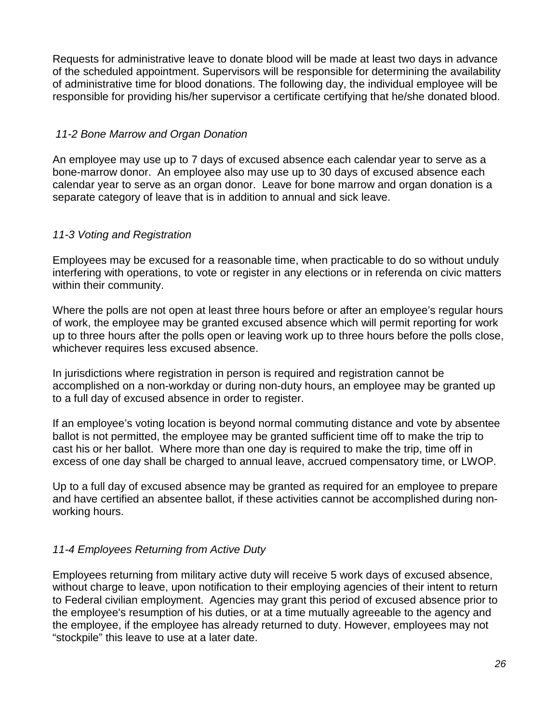Requests for administrative leave to donate blood will be made at least two days in advance of the scheduled appointment. Supervisors will be responsible for determining the availability of administrative time for blood donations. The following day, the individual employee will be responsible for providing his/her supervisor a certificate certifying that he/she donated blood.

# *11-2 Bone Marrow and Organ Donation*

An employee may use up to 7 days of excused absence each calendar year to serve as a bone-marrow donor. An employee also may use up to 30 days of excused absence each calendar year to serve as an organ donor. Leave for bone marrow and organ donation is a separate category of leave that is in addition to annual and sick leave.

# *11-3 Voting and Registration*

Employees may be excused for a reasonable time, when practicable to do so without unduly interfering with operations, to vote or register in any elections or in referenda on civic matters within their community.

Where the polls are not open at least three hours before or after an employee's regular hours of work, the employee may be granted excused absence which will permit reporting for work up to three hours after the polls open or leaving work up to three hours before the polls close, whichever requires less excused absence.

In jurisdictions where registration in person is required and registration cannot be accomplished on a non-workday or during non-duty hours, an employee may be granted up to a full day of excused absence in order to register.

If an employee's voting location is beyond normal commuting distance and vote by absentee ballot is not permitted, the employee may be granted sufficient time off to make the trip to cast his or her ballot. Where more than one day is required to make the trip, time off in excess of one day shall be charged to annual leave, accrued compensatory time, or LWOP.

Up to a full day of excused absence may be granted as required for an employee to prepare and have certified an absentee ballot, if these activities cannot be accomplished during nonworking hours.

# *11-4 Employees Returning from Active Duty*

Employees returning from military active duty will receive 5 work days of excused absence, without charge to leave, upon notification to their employing agencies of their intent to return to Federal civilian employment. Agencies may grant this period of excused absence prior to the employee's resumption of his duties, or at a time mutually agreeable to the agency and the employee, if the employee has already returned to duty. However, employees may not "stockpile" this leave to use at a later date.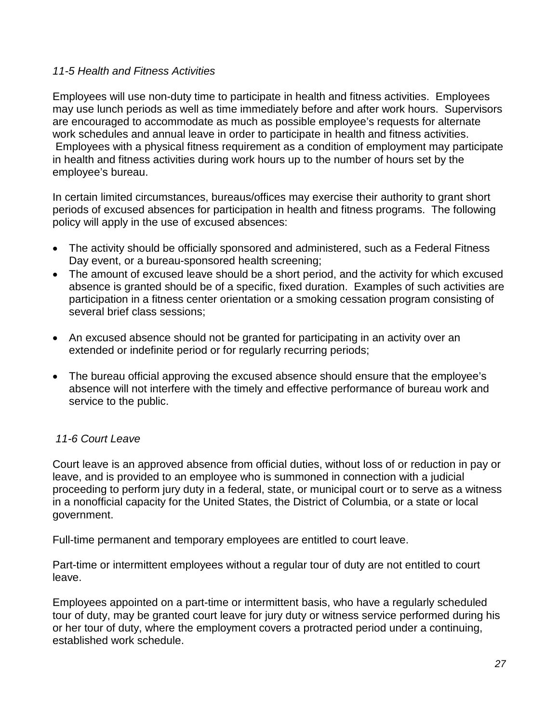#### *11-5 Health and Fitness Activities*

Employees will use non-duty time to participate in health and fitness activities. Employees may use lunch periods as well as time immediately before and after work hours. Supervisors are encouraged to accommodate as much as possible employee's requests for alternate work schedules and annual leave in order to participate in health and fitness activities. Employees with a physical fitness requirement as a condition of employment may participate in health and fitness activities during work hours up to the number of hours set by the employee's bureau.

In certain limited circumstances, bureaus/offices may exercise their authority to grant short periods of excused absences for participation in health and fitness programs. The following policy will apply in the use of excused absences:

- The activity should be officially sponsored and administered, such as a Federal Fitness Day event, or a bureau-sponsored health screening;
- The amount of excused leave should be a short period, and the activity for which excused absence is granted should be of a specific, fixed duration. Examples of such activities are participation in a fitness center orientation or a smoking cessation program consisting of several brief class sessions;
- An excused absence should not be granted for participating in an activity over an extended or indefinite period or for regularly recurring periods;
- The bureau official approving the excused absence should ensure that the employee's absence will not interfere with the timely and effective performance of bureau work and service to the public.

# *11-6 Court Leave*

Court leave is an approved absence from official duties, without loss of or reduction in pay or leave, and is provided to an employee who is summoned in connection with a judicial proceeding to perform jury duty in a federal, state, or municipal court or to serve as a witness in a nonofficial capacity for the United States, the District of Columbia, or a state or local government.

Full-time permanent and temporary employees are entitled to court leave.

Part-time or intermittent employees without a regular tour of duty are not entitled to court leave.

Employees appointed on a part-time or intermittent basis, who have a regularly scheduled tour of duty, may be granted court leave for jury duty or witness service performed during his or her tour of duty, where the employment covers a protracted period under a continuing, established work schedule.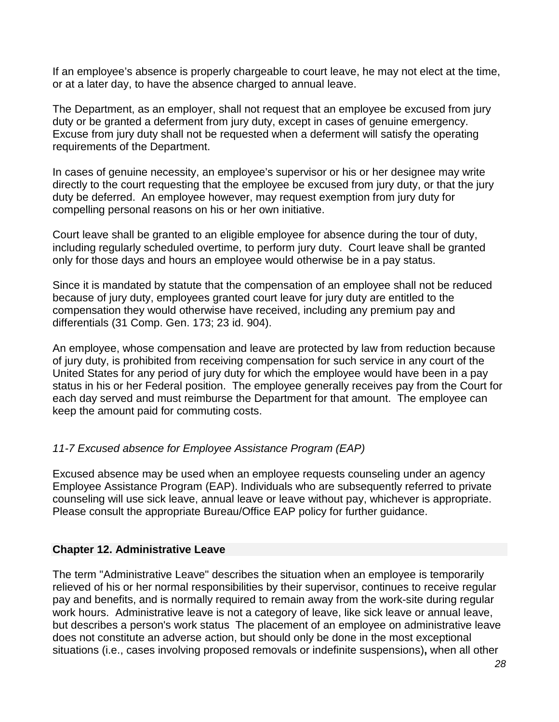If an employee's absence is properly chargeable to court leave, he may not elect at the time, or at a later day, to have the absence charged to annual leave.

The Department, as an employer, shall not request that an employee be excused from jury duty or be granted a deferment from jury duty, except in cases of genuine emergency. Excuse from jury duty shall not be requested when a deferment will satisfy the operating requirements of the Department.

In cases of genuine necessity, an employee's supervisor or his or her designee may write directly to the court requesting that the employee be excused from jury duty, or that the jury duty be deferred. An employee however, may request exemption from jury duty for compelling personal reasons on his or her own initiative.

Court leave shall be granted to an eligible employee for absence during the tour of duty, including regularly scheduled overtime, to perform jury duty. Court leave shall be granted only for those days and hours an employee would otherwise be in a pay status.

Since it is mandated by statute that the compensation of an employee shall not be reduced because of jury duty, employees granted court leave for jury duty are entitled to the compensation they would otherwise have received, including any premium pay and differentials (31 Comp. Gen. 173; 23 id. 904).

An employee, whose compensation and leave are protected by law from reduction because of jury duty, is prohibited from receiving compensation for such service in any court of the United States for any period of jury duty for which the employee would have been in a pay status in his or her Federal position. The employee generally receives pay from the Court for each day served and must reimburse the Department for that amount. The employee can keep the amount paid for commuting costs.

# *11-7 Excused absence for Employee Assistance Program (EAP)*

Excused absence may be used when an employee requests counseling under an agency Employee Assistance Program (EAP). Individuals who are subsequently referred to private counseling will use sick leave, annual leave or leave without pay, whichever is appropriate. Please consult the appropriate Bureau/Office EAP policy for further guidance.

# **Chapter 12. Administrative Leave**

The term "Administrative Leave" describes the situation when an employee is temporarily relieved of his or her normal responsibilities by their supervisor, continues to receive regular pay and benefits, and is normally required to remain away from the work-site during regular work hours. Administrative leave is not a category of leave, like sick leave or annual leave, but describes a person's work status The placement of an employee on administrative leave does not constitute an adverse action, but should only be done in the most exceptional situations (i.e., cases involving proposed removals or indefinite suspensions)**,** when all other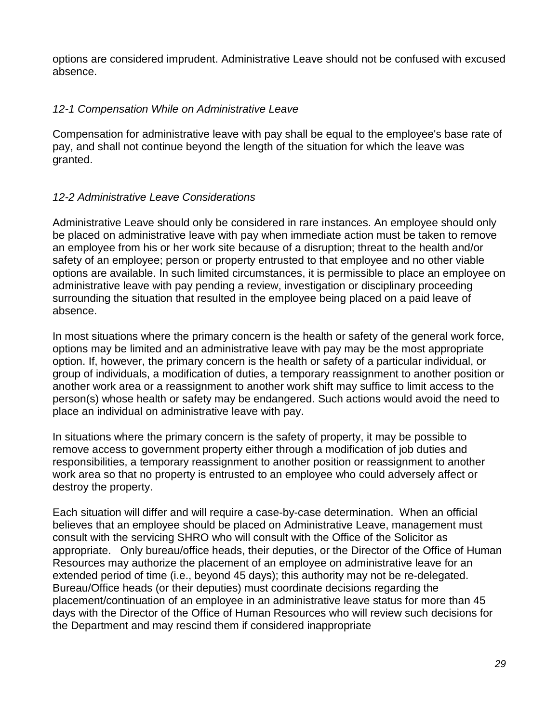options are considered imprudent. Administrative Leave should not be confused with excused absence.

# *12-1 Compensation While on Administrative Leave*

Compensation for administrative leave with pay shall be equal to the employee's base rate of pay, and shall not continue beyond the length of the situation for which the leave was granted.

# *12-2 Administrative Leave Considerations*

Administrative Leave should only be considered in rare instances. An employee should only be placed on administrative leave with pay when immediate action must be taken to remove an employee from his or her work site because of a disruption; threat to the health and/or safety of an employee; person or property entrusted to that employee and no other viable options are available. In such limited circumstances, it is permissible to place an employee on administrative leave with pay pending a review, investigation or disciplinary proceeding surrounding the situation that resulted in the employee being placed on a paid leave of absence.

In most situations where the primary concern is the health or safety of the general work force, options may be limited and an administrative leave with pay may be the most appropriate option. If, however, the primary concern is the health or safety of a particular individual, or group of individuals, a modification of duties, a temporary reassignment to another position or another work area or a reassignment to another work shift may suffice to limit access to the person(s) whose health or safety may be endangered. Such actions would avoid the need to place an individual on administrative leave with pay.

In situations where the primary concern is the safety of property, it may be possible to remove access to government property either through a modification of job duties and responsibilities, a temporary reassignment to another position or reassignment to another work area so that no property is entrusted to an employee who could adversely affect or destroy the property.

Each situation will differ and will require a case-by-case determination. When an official believes that an employee should be placed on Administrative Leave, management must consult with the servicing SHRO who will consult with the Office of the Solicitor as appropriate. Only bureau/office heads, their deputies, or the Director of the Office of Human Resources may authorize the placement of an employee on administrative leave for an extended period of time (i.e., beyond 45 days); this authority may not be re-delegated. Bureau/Office heads (or their deputies) must coordinate decisions regarding the placement/continuation of an employee in an administrative leave status for more than 45 days with the Director of the Office of Human Resources who will review such decisions for the Department and may rescind them if considered inappropriate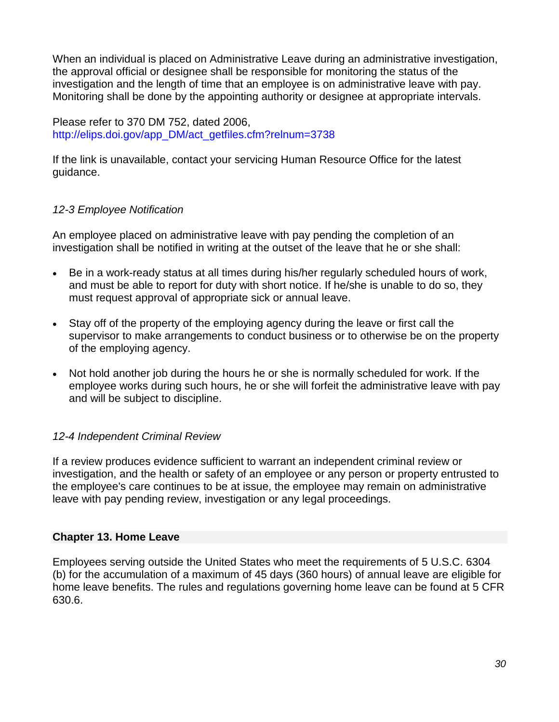When an individual is placed on Administrative Leave during an administrative investigation, the approval official or designee shall be responsible for monitoring the status of the investigation and the length of time that an employee is on administrative leave with pay. Monitoring shall be done by the appointing authority or designee at appropriate intervals.

Please refer to 370 DM 752, dated 2006, [http://elips.doi.gov/app\\_DM/act\\_getfiles.cfm?relnum=3738](http://elips.doi.gov/app_DM/act_getfiles.cfm?relnum=3738)

If the link is unavailable, contact your servicing Human Resource Office for the latest guidance.

# *12-3 Employee Notification*

An employee placed on administrative leave with pay pending the completion of an investigation shall be notified in writing at the outset of the leave that he or she shall:

- Be in a work-ready status at all times during his/her regularly scheduled hours of work, and must be able to report for duty with short notice. If he/she is unable to do so, they must request approval of appropriate sick or annual leave.
- Stay off of the property of the employing agency during the leave or first call the supervisor to make arrangements to conduct business or to otherwise be on the property of the employing agency.
- Not hold another job during the hours he or she is normally scheduled for work. If the employee works during such hours, he or she will forfeit the administrative leave with pay and will be subject to discipline.

# *12-4 Independent Criminal Review*

If a review produces evidence sufficient to warrant an independent criminal review or investigation, and the health or safety of an employee or any person or property entrusted to the employee's care continues to be at issue, the employee may remain on administrative leave with pay pending review, investigation or any legal proceedings.

# **Chapter 13. Home Leave**

Employees serving outside the United States who meet the requirements of 5 U.S.C. 6304 (b) for the accumulation of a maximum of 45 days (360 hours) of annual leave are eligible for home leave benefits. The rules and regulations governing home leave can be found at 5 CFR 630.6.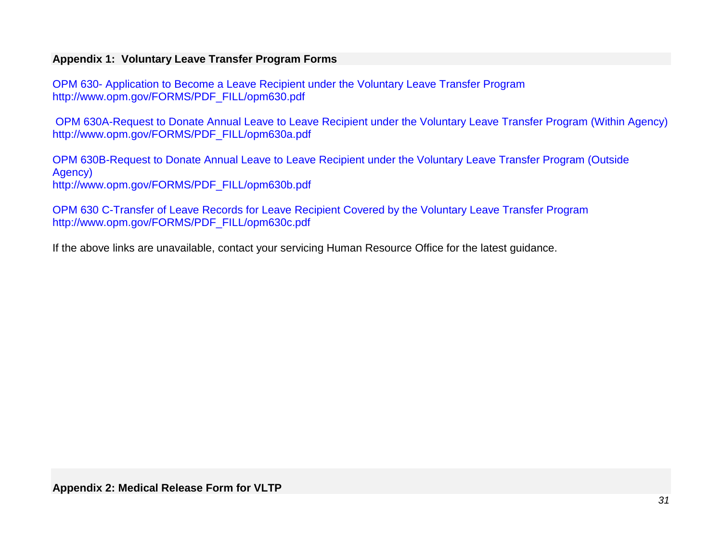# **Appendix 1: Voluntary Leave Transfer Program Forms**

OPM 630- [Application to Become a Leave Recipient under the Voluntary Leave Transfer Program](http://www.opm.gov/FORMS/PDF_FILL/opm630.pdf) [http://www.opm.gov/FORMS/PDF\\_FILL/opm630.pdf](http://www.opm.gov/FORMS/PDF_FILL/opm630.pdf)

[OPM 630A-Request to Donate Annual Leave to Leave Recipient under](http://www.opm.gov/FORMS/PDF_FILL/opm630a.pdf) the Voluntary Leave Transfer Program (Within Agency) [http://www.opm.gov/FORMS/PDF\\_FILL/opm630a.pdf](http://www.opm.gov/FORMS/PDF_FILL/opm630a.pdf)

[OPM 630B-Request to Donate Annual Leave to Leave Recipient under](http://www.opm.gov/FORMS/PDF_FILL/opm630b.pdf) the Voluntary Leave Transfer Program (Outside [Agency\)](http://www.opm.gov/FORMS/PDF_FILL/opm630b.pdf) [http://www.opm.gov/FORMS/PDF\\_FILL/opm630b.pdf](http://www.opm.gov/FORMS/PDF_FILL/opm630b.pdf)

OPM 630 C[-Transfer of Leave Records for Leave Recipient Covered by the Voluntary Leave Transfer Program](http://www.opm.gov/FORMS/PDF_FILL/opm630c.pdf) [http://www.opm.gov/FORMS/PDF\\_FILL/opm630c.pdf](http://www.opm.gov/FORMS/PDF_FILL/opm630c.pdf)

If the above links are unavailable, contact your servicing Human Resource Office for the latest guidance.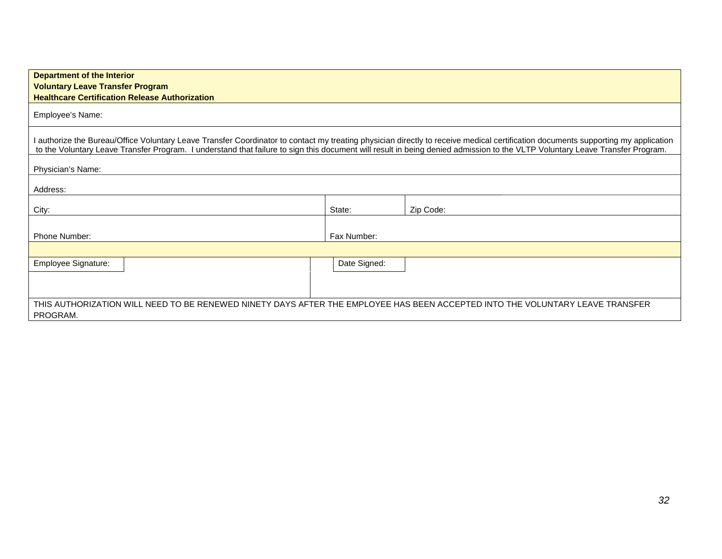| <b>Department of the Interior</b><br><b>Voluntary Leave Transfer Program</b><br><b>Healthcare Certification Release Authorization</b>                                                                                                                                                                                                                             |              |           |  |  |
|-------------------------------------------------------------------------------------------------------------------------------------------------------------------------------------------------------------------------------------------------------------------------------------------------------------------------------------------------------------------|--------------|-----------|--|--|
| Employee's Name:                                                                                                                                                                                                                                                                                                                                                  |              |           |  |  |
| I authorize the Bureau/Office Voluntary Leave Transfer Coordinator to contact my treating physician directly to receive medical certification documents supporting my application<br>to the Voluntary Leave Transfer Program. I understand that failure to sign this document will result in being denied admission to the VLTP Voluntary Leave Transfer Program. |              |           |  |  |
| Physician's Name:                                                                                                                                                                                                                                                                                                                                                 |              |           |  |  |
| Address:                                                                                                                                                                                                                                                                                                                                                          |              |           |  |  |
| City:                                                                                                                                                                                                                                                                                                                                                             | State:       | Zip Code: |  |  |
| <b>Phone Number:</b>                                                                                                                                                                                                                                                                                                                                              | Fax Number:  |           |  |  |
|                                                                                                                                                                                                                                                                                                                                                                   |              |           |  |  |
| Employee Signature:                                                                                                                                                                                                                                                                                                                                               | Date Signed: |           |  |  |
|                                                                                                                                                                                                                                                                                                                                                                   |              |           |  |  |
| THIS AUTHORIZATION WILL NEED TO BE RENEWED NINETY DAYS AFTER THE EMPLOYEE HAS BEEN ACCEPTED INTO THE VOLUNTARY LEAVE TRANSFER<br>PROGRAM.                                                                                                                                                                                                                         |              |           |  |  |